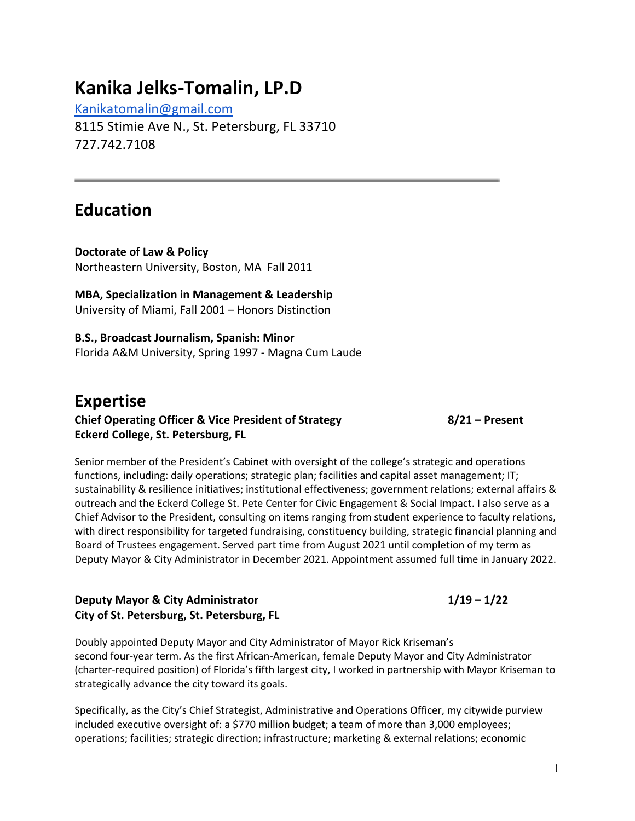# **Kanika Jelks-Tomalin, LP.D**

Kanikatomalin@gmail.com

8115 Stimie Ave N., St. Petersburg, FL 33710 727.742.7108

# **Education**

**Doctorate of Law & Policy** Northeastern University, Boston, MA Fall 2011

**MBA, Specialization in Management & Leadership** University of Miami, Fall 2001 – Honors Distinction

**B.S., Broadcast Journalism, Spanish: Minor** Florida A&M University, Spring 1997 - Magna Cum Laude

### **Expertise Chief Operating Officer & Vice President of Strategy 8/21 – Present Eckerd College, St. Petersburg, FL**

Senior member of the President's Cabinet with oversight of the college's strategic and operations functions, including: daily operations; strategic plan; facilities and capital asset management; IT; sustainability & resilience initiatives; institutional effectiveness; government relations; external affairs & outreach and the Eckerd College St. Pete Center for Civic Engagement & Social Impact. I also serve as a Chief Advisor to the President, consulting on items ranging from student experience to faculty relations, with direct responsibility for targeted fundraising, constituency building, strategic financial planning and Board of Trustees engagement. Served part time from August 2021 until completion of my term as Deputy Mayor & City Administrator in December 2021. Appointment assumed full time in January 2022.

#### **Deputy Mayor & City Administrator 1/19 – 1/22 City of St. Petersburg, St. Petersburg, FL**

Doubly appointed Deputy Mayor and City Administrator of Mayor Rick Kriseman's second four-year term. As the first African-American, female Deputy Mayor and City Administrator (charter-required position) of Florida's fifth largest city, I worked in partnership with Mayor Kriseman to strategically advance the city toward its goals.

Specifically, as the City's Chief Strategist, Administrative and Operations Officer, my citywide purview included executive oversight of: a \$770 million budget; a team of more than 3,000 employees; operations; facilities; strategic direction; infrastructure; marketing & external relations; economic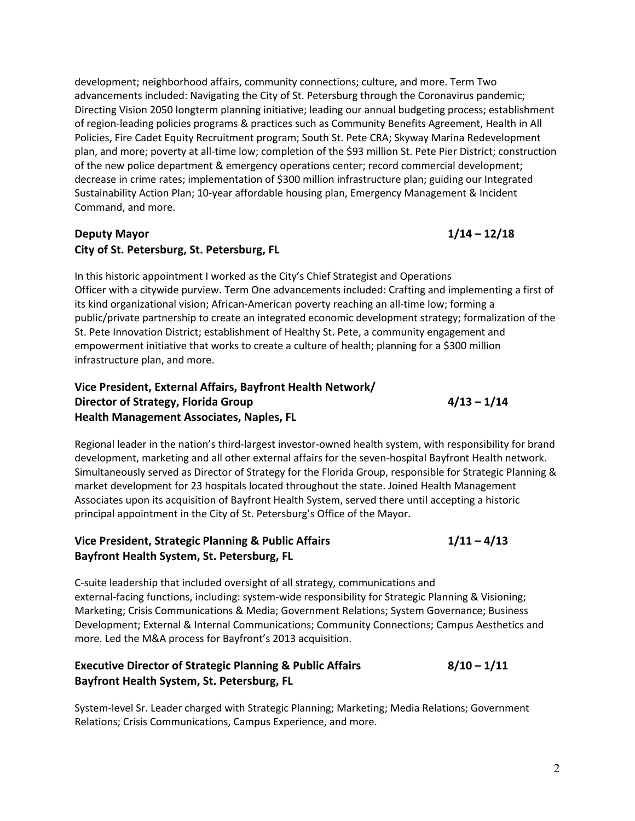development; neighborhood affairs, community connections; culture, and more. Term Two advancements included: Navigating the City of St. Petersburg through the Coronavirus pandemic; Directing Vision 2050 longterm planning initiative; leading our annual budgeting process; establishment of region-leading policies programs & practices such as Community Benefits Agreement, Health in All Policies, Fire Cadet Equity Recruitment program; South St. Pete CRA; Skyway Marina Redevelopment plan, and more; poverty at all-time low; completion of the \$93 million St. Pete Pier District; construction of the new police department & emergency operations center; record commercial development; decrease in crime rates; implementation of \$300 million infrastructure plan; guiding our Integrated Sustainability Action Plan; 10-year affordable housing plan, Emergency Management & Incident Command, and more.

#### **Deputy Mayor 1/14 – 12/18 City of St. Petersburg, St. Petersburg, FL**

In this historic appointment I worked as the City's Chief Strategist and Operations Officer with a citywide purview. Term One advancements included: Crafting and implementing a first of its kind organizational vision; African-American poverty reaching an all-time low; forming a public/private partnership to create an integrated economic development strategy; formalization of the St. Pete Innovation District; establishment of Healthy St. Pete, a community engagement and empowerment initiative that works to create a culture of health; planning for a \$300 million infrastructure plan, and more.

#### **Vice President, External Affairs, Bayfront Health Network/ Director** of Strategy, Florida Group<br> **4/13** - 1/14 **Health Management Associates, Naples, FL**

Regional leader in the nation's third-largest investor-owned health system, with responsibility for brand development, marketing and all other external affairs for the seven-hospital Bayfront Health network. Simultaneously served as Director of Strategy for the Florida Group, responsible for Strategic Planning & market development for 23 hospitals located throughout the state. Joined Health Management Associates upon its acquisition of Bayfront Health System, served there until accepting a historic principal appointment in the City of St. Petersburg's Office of the Mayor.

#### **Vice President, Strategic Planning & Public Affairs 1/11 – 4/13 Bayfront Health System, St. Petersburg, FL**

C-suite leadership that included oversight of all strategy, communications and external-facing functions, including: system-wide responsibility for Strategic Planning & Visioning; Marketing; Crisis Communications & Media; Government Relations; System Governance; Business Development; External & Internal Communications; Community Connections; Campus Aesthetics and more. Led the M&A process for Bayfront's 2013 acquisition.

#### **Executive Director of Strategic Planning & Public Affairs 8/10 – 1/11 Bayfront Health System, St. Petersburg, FL**

System-level Sr. Leader charged with Strategic Planning; Marketing; Media Relations; Government Relations; Crisis Communications, Campus Experience, and more.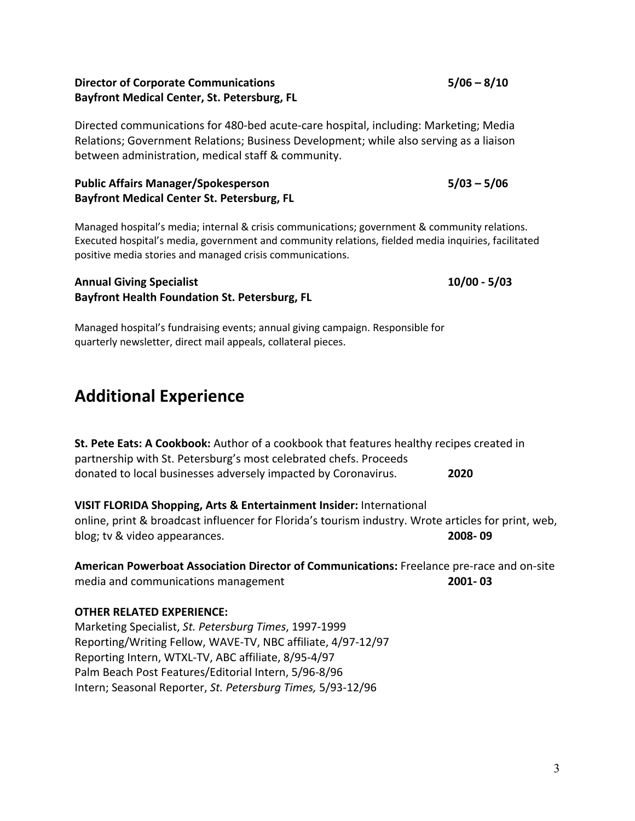#### **Director of Corporate Communications 5/06 – 8/10 Bayfront Medical Center, St. Petersburg, FL**

Directed communications for 480-bed acute-care hospital, including: Marketing; Media Relations; Government Relations; Business Development; while also serving as a liaison between administration, medical staff & community.

#### **Public Affairs Manager/Spokesperson 5/03 – 5/06 Bayfront Medical Center St. Petersburg, FL**

Managed hospital's media; internal & crisis communications; government & community relations. Executed hospital's media, government and community relations, fielded media inquiries, facilitated positive media stories and managed crisis communications.

#### **Annual Giving Specialist 10/00 - 5/03 Bayfront Health Foundation St. Petersburg, FL**

Managed hospital's fundraising events; annual giving campaign. Responsible for quarterly newsletter, direct mail appeals, collateral pieces.

# **Additional Experience**

**St. Pete Eats: A Cookbook:** Author of a cookbook that features healthy recipes created in partnership with St. Petersburg's most celebrated chefs. Proceeds donated to local businesses adversely impacted by Coronavirus. **2020**

#### **VISIT FLORIDA Shopping, Arts & Entertainment Insider:** International online, print & broadcast influencer for Florida's tourism industry. Wrote articles for print, web, blog; tv & video appearances. **2008- 09**

**American Powerboat Association Director of Communications:** Freelance pre-race and on-site media and communications management **2001- 03**

#### **OTHER RELATED EXPERIENCE:**

Marketing Specialist, *St. Petersburg Times*, 1997-1999 Reporting/Writing Fellow, WAVE-TV, NBC affiliate, 4/97-12/97 Reporting Intern, WTXL-TV, ABC affiliate, 8/95-4/97 Palm Beach Post Features/Editorial Intern, 5/96-8/96 Intern; Seasonal Reporter, *St. Petersburg Times,* 5/93-12/96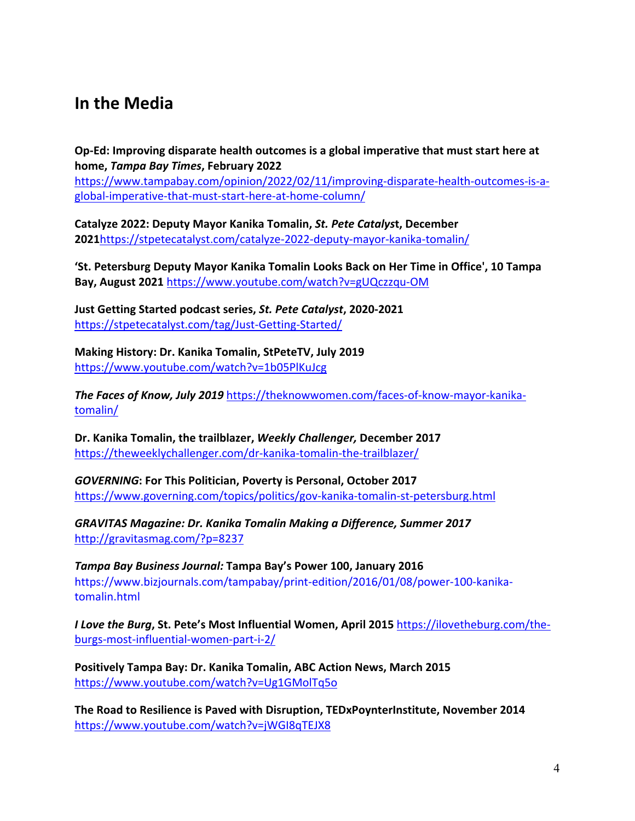# **In the Media**

**Op-Ed: Improving disparate health outcomes is a global imperative that must start here at home,** *Tampa Bay Times***, February 2022**

https://www.tampabay.com/opinion/2022/02/11/improving-disparate-health-outcomes-is-aglobal-imperative-that-must-start-here-at-home-column/

**Catalyze 2022: Deputy Mayor Kanika Tomalin,** *St. Pete Catalys***t, December 2021**https://stpetecatalyst.com/catalyze-2022-deputy-mayor-kanika-tomalin/

**'St. Petersburg Deputy Mayor Kanika Tomalin Looks Back on Her Time in Office', 10 Tampa Bay, August 2021** https://www.youtube.com/watch?v=gUQczzqu-OM

**Just Getting Started podcast series,** *St. Pete Catalyst***, 2020-2021** https://stpetecatalyst.com/tag/Just-Getting-Started/

**Making History: Dr. Kanika Tomalin, StPeteTV, July 2019** https://www.youtube.com/watch?v=1b05PlKuJcg

*The Faces of Know, July 2019* https://theknowwomen.com/faces-of-know-mayor-kanikatomalin/

**Dr. Kanika Tomalin, the trailblazer,** *Weekly Challenger,* **December 2017** https://theweeklychallenger.com/dr-kanika-tomalin-the-trailblazer/

*GOVERNING***: For This Politician, Poverty is Personal, October 2017** https://www.governing.com/topics/politics/gov-kanika-tomalin-st-petersburg.html

*GRAVITAS Magazine: Dr. Kanika Tomalin Making a Difference, Summer 2017* http://gravitasmag.com/?p=8237

*Tampa Bay Business Journal:* **Tampa Bay's Power 100, January 2016** https://www.bizjournals.com/tampabay/print-edition/2016/01/08/power-100-kanikatomalin.html

*I Love the Burg***, St. Pete's Most Influential Women, April 2015** https://ilovetheburg.com/theburgs-most-influential-women-part-i-2/

**Positively Tampa Bay: Dr. Kanika Tomalin, ABC Action News, March 2015** https://www.youtube.com/watch?v=Ug1GMolTq5o

**The Road to Resilience is Paved with Disruption, TEDxPoynterInstitute, November 2014** https://www.youtube.com/watch?v=jWGI8qTEJX8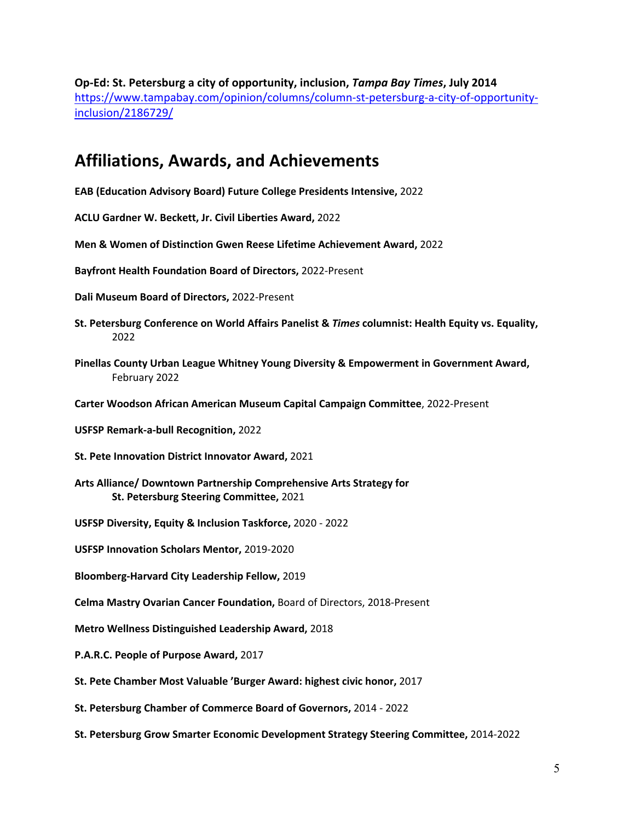**Op-Ed: St. Petersburg a city of opportunity, inclusion,** *Tampa Bay Times***, July 2014** https://www.tampabay.com/opinion/columns/column-st-petersburg-a-city-of-opportunityinclusion/2186729/

## **Affiliations, Awards, and Achievements**

**EAB (Education Advisory Board) Future College Presidents Intensive,** 2022

**ACLU Gardner W. Beckett, Jr. Civil Liberties Award,** 2022

**Men & Women of Distinction Gwen Reese Lifetime Achievement Award,** 2022

**Bayfront Health Foundation Board of Directors,** 2022-Present

**Dali Museum Board of Directors,** 2022-Present

- **St. Petersburg Conference on World Affairs Panelist &** *Times* **columnist: Health Equity vs. Equality,** 2022
- **Pinellas County Urban League Whitney Young Diversity & Empowerment in Government Award,** February 2022
- **Carter Woodson African American Museum Capital Campaign Committee**, 2022-Present
- **USFSP Remark-a-bull Recognition,** 2022
- **St. Pete Innovation District Innovator Award,** 2021
- **Arts Alliance/ Downtown Partnership Comprehensive Arts Strategy for St. Petersburg Steering Committee,** 2021
- **USFSP Diversity, Equity & Inclusion Taskforce,** 2020 2022
- **USFSP Innovation Scholars Mentor,** 2019-2020

**Bloomberg-Harvard City Leadership Fellow,** 2019

**Celma Mastry Ovarian Cancer Foundation,** Board of Directors, 2018-Present

**Metro Wellness Distinguished Leadership Award,** 2018

- **P.A.R.C. People of Purpose Award,** 2017
- **St. Pete Chamber Most Valuable 'Burger Award: highest civic honor,** 2017

**St. Petersburg Chamber of Commerce Board of Governors,** 2014 - 2022

**St. Petersburg Grow Smarter Economic Development Strategy Steering Committee,** 2014-2022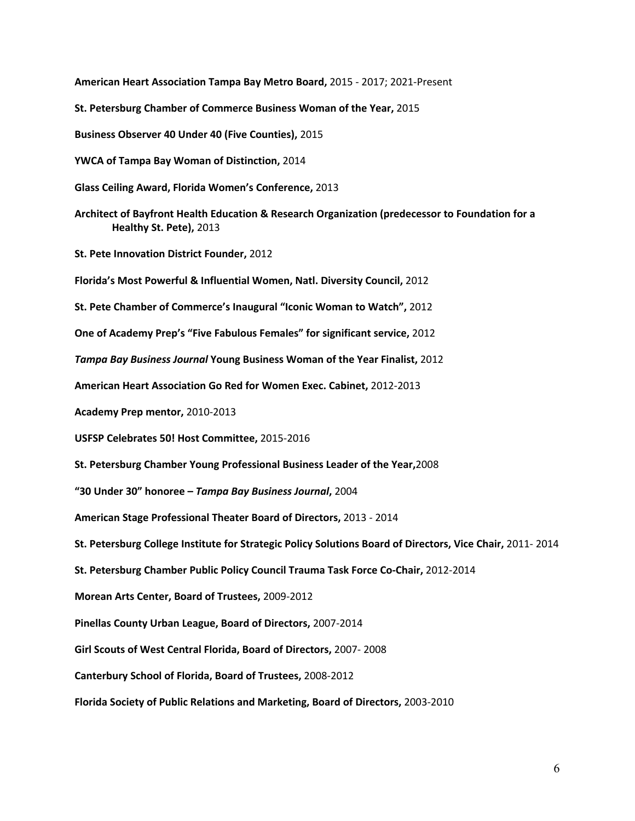**American Heart Association Tampa Bay Metro Board,** 2015 - 2017; 2021-Present **St. Petersburg Chamber of Commerce Business Woman of the Year,** 2015 **Business Observer 40 Under 40 (Five Counties),** 2015 **YWCA of Tampa Bay Woman of Distinction,** 2014 **Glass Ceiling Award, Florida Women's Conference,** 2013 **Architect of Bayfront Health Education & Research Organization (predecessor to Foundation for a Healthy St. Pete),** 2013 **St. Pete Innovation District Founder,** 2012 **Florida's Most Powerful & Influential Women, Natl. Diversity Council,** 2012 **St. Pete Chamber of Commerce's Inaugural "Iconic Woman to Watch",** 2012 **One of Academy Prep's "Five Fabulous Females" for significant service,** 2012 *Tampa Bay Business Journal* **Young Business Woman of the Year Finalist,** 2012 **American Heart Association Go Red for Women Exec. Cabinet,** 2012-2013 **Academy Prep mentor,** 2010-2013 **USFSP Celebrates 50! Host Committee,** 2015-2016 **St. Petersburg Chamber Young Professional Business Leader of the Year,**2008 **"30 Under 30" honoree –** *Tampa Bay Business Journal***,** 2004 **American Stage Professional Theater Board of Directors,** 2013 - 2014 **St. Petersburg College Institute for Strategic Policy Solutions Board of Directors, Vice Chair,** 2011- 2014 **St. Petersburg Chamber Public Policy Council Trauma Task Force Co-Chair,** 2012-2014 **Morean Arts Center, Board of Trustees,** 2009-2012 **Pinellas County Urban League, Board of Directors,** 2007-2014 **Girl Scouts of West Central Florida, Board of Directors,** 2007- 2008 **Canterbury School of Florida, Board of Trustees,** 2008-2012 **Florida Society of Public Relations and Marketing, Board of Directors,** 2003-2010